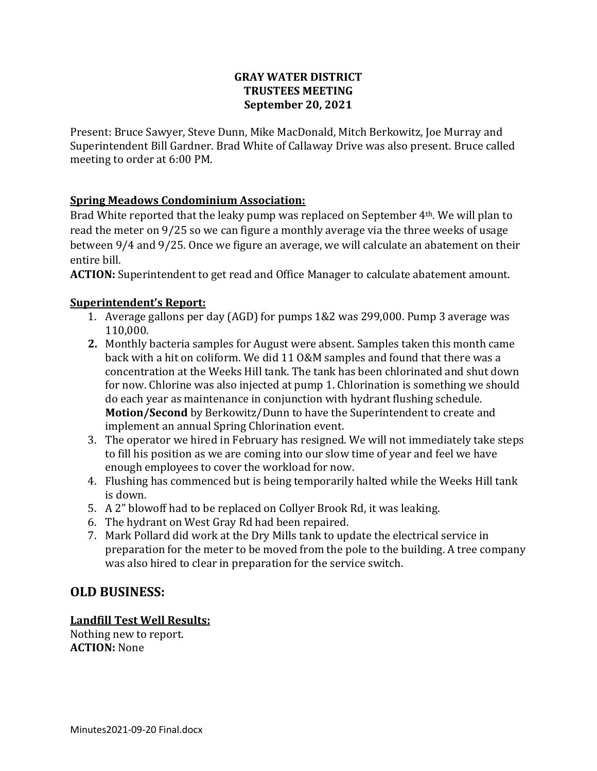## **GRAY WATER DISTRICT TRUSTEES MEETING September 20, 2021**

Present: Bruce Sawyer, Steve Dunn, Mike MacDonald, Mitch Berkowitz, Joe Murray and Superintendent Bill Gardner. Brad White of Callaway Drive was also present. Bruce called meeting to order at 6:00 PM.

## **Spring Meadows Condominium Association:**

Brad White reported that the leaky pump was replaced on September 4<sup>th</sup>. We will plan to read the meter on 9/25 so we can figure a monthly average via the three weeks of usage between 9/4 and 9/25. Once we figure an average, we will calculate an abatement on their entire bill.

**ACTION:** Superintendent to get read and Office Manager to calculate abatement amount.

## **Superintendent's Report:**

- 1. Average gallons per day (AGD) for pumps 1&2 was 299,000. Pump 3 average was 110,000.
- **2.** Monthly bacteria samples for August were absent. Samples taken this month came back with a hit on coliform. We did 11 O&M samples and found that there was a concentration at the Weeks Hill tank. The tank has been chlorinated and shut down for now. Chlorine was also injected at pump 1. Chlorination is something we should do each year as maintenance in conjunction with hydrant flushing schedule. **Motion/Second** by Berkowitz/Dunn to have the Superintendent to create and implement an annual Spring Chlorination event.
- 3. The operator we hired in February has resigned. We will not immediately take steps to fill his position as we are coming into our slow time of year and feel we have enough employees to cover the workload for now.
- 4. Flushing has commenced but is being temporarily halted while the Weeks Hill tank is down.
- 5. A 2" blowoff had to be replaced on Collyer Brook Rd, it was leaking.
- 6. The hydrant on West Gray Rd had been repaired.
- 7. Mark Pollard did work at the Dry Mills tank to update the electrical service in preparation for the meter to be moved from the pole to the building. A tree company was also hired to clear in preparation for the service switch.

# **OLD BUSINESS:**

## **Landfill Test Well Results:**

Nothing new to report. **ACTION:** None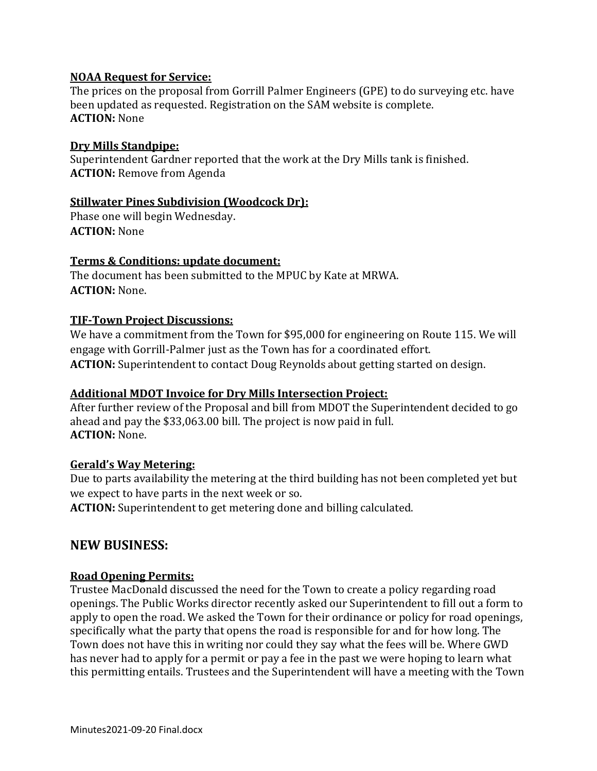#### **NOAA Request for Service:**

The prices on the proposal from Gorrill Palmer Engineers (GPE) to do surveying etc. have been updated as requested. Registration on the SAM website is complete. **ACTION:** None

#### **Dry Mills Standpipe:**

Superintendent Gardner reported that the work at the Dry Mills tank is finished. **ACTION:** Remove from Agenda

## **Stillwater Pines Subdivision (Woodcock Dr):**

Phase one will begin Wednesday. **ACTION:** None

## **Terms & Conditions: update document:**

The document has been submitted to the MPUC by Kate at MRWA. **ACTION:** None.

## **TIF-Town Project Discussions:**

We have a commitment from the Town for \$95,000 for engineering on Route 115. We will engage with Gorrill-Palmer just as the Town has for a coordinated effort. **ACTION:** Superintendent to contact Doug Reynolds about getting started on design.

#### **Additional MDOT Invoice for Dry Mills Intersection Project:**

After further review of the Proposal and bill from MDOT the Superintendent decided to go ahead and pay the \$33,063.00 bill. The project is now paid in full. **ACTION:** None.

#### **Gerald's Way Metering:**

Due to parts availability the metering at the third building has not been completed yet but we expect to have parts in the next week or so.

**ACTION:** Superintendent to get metering done and billing calculated.

## **NEW BUSINESS:**

#### **Road Opening Permits:**

Trustee MacDonald discussed the need for the Town to create a policy regarding road openings. The Public Works director recently asked our Superintendent to fill out a form to apply to open the road. We asked the Town for their ordinance or policy for road openings, specifically what the party that opens the road is responsible for and for how long. The Town does not have this in writing nor could they say what the fees will be. Where GWD has never had to apply for a permit or pay a fee in the past we were hoping to learn what this permitting entails. Trustees and the Superintendent will have a meeting with the Town